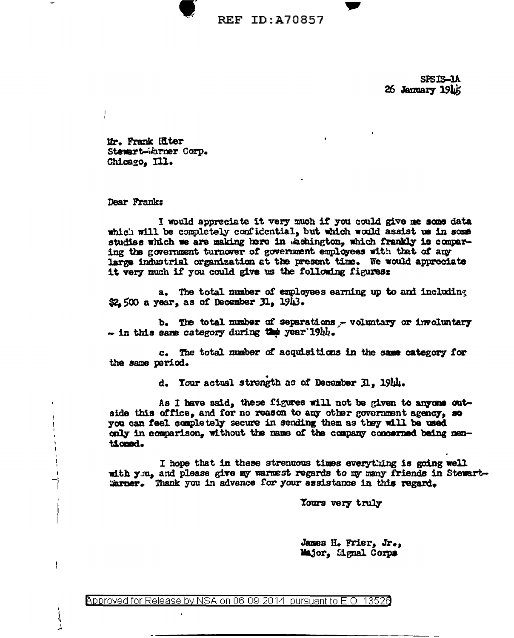**REF ID: A70857** 

SPSTS-1A 26 January 1945

Mr. Frank Hiter Stewart-Warner Corp. Chicago, Ill.

Dear Frank:

 $\mathbf{I}$ 

I would appreciate it very much if you could give me some data which will be completely confidential, but which would assist us in some studies which we are making here in Washington, which frankly is comparing the government turnover of government employees with that of any large industrial organization at the present time. We would appreciate it very much if you could give us the following figures:

a. The total number of employees earning up to and including \$2.500 a year, as of December 31, 1943.

b. The total number of separations - voluntary or involuntary - in this same category during the year 19th.

c. The total number of acquisitions in the same category for the same period.

d. Your actual strength as of December 31, 1944.

As I have said, these figures will not be given to anyone outside this office, and for no reason to any other government agency, so you can feel completely secure in sending them as they will be used only in comparison, without the name of the company concerned being mentioned.

I hope that in these strenuous times everything is going well with you, and please give my warmest regards to my many friends in Stewart-Warner. Thank you in advance for your assistance in this regard.

Yours very truly

James H. Frier, Jr., Major, Signal Corps

<code>Approved</code> for Release by NSA on 06-09-2014  $\,$  pursuant to E.O. 13528  $\,$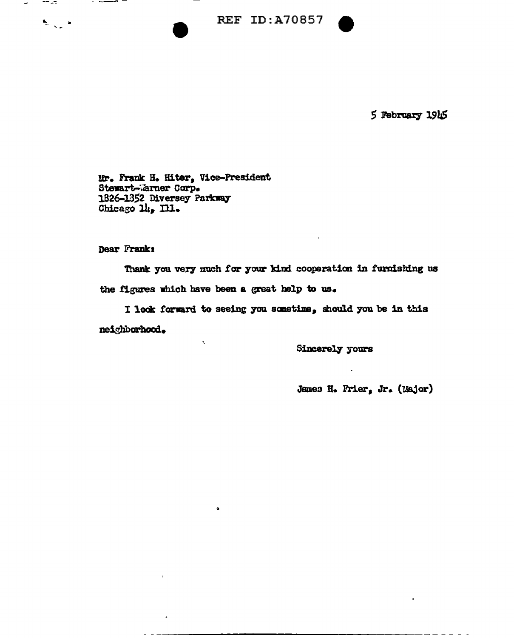**REF ID: A70857** 



5 February 1945

Mr. Frank H. Hiter, Vice-President Stewart-Warner Corp. 1826-1352 Diversey Parkway Chicago 14, Ill.

Dear Frank:

**TT 27** 

 $\begin{array}{ccccc}\n\bullet_1 & & \bullet_2 & & \bullet_3 \\
\bullet_2 & & \bullet_3 & & \bullet_4\n\end{array}$ 

Thank you very much for your kind cooperation in furnishing us the figures which have been a great help to us.

I look forward to seeing you sometime, should you be in this neighborhood.

**Sincerely yours** 

James H. Prier, Jr. (Major)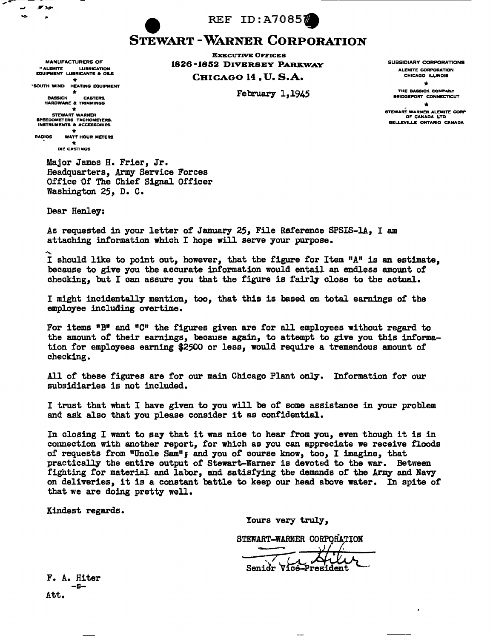REF ID:A70857

## STEWART -WARNER CORPORATION

EXECUTIVE OFFICES 1826 -1852 DIVERSEY PARKWAY CHICAGO 14 , U. S.A.

February 1,1945

SUBSIDIARY CORPORATIONS ALEMITE CORPORATION CHICAGO ILLINOIS

 $\star$ <br>THE BASSICK COMPANY

BRIDGEPORT CONNECTICUT

STEWART WARNER ALEMITE CORP OF CANADA LTD BELLEVILLE ONTARIO CANADA

SOUTH WIND HEATING EQUIPMENT **ark \* \* \* \* \* CASTERS.**<br>HARDWARE & TRIMMINGS <del>\*</del><br>STEWART WARNER<br>SPEEDOMETERS TACHOMETERS.<br>INSTRUMENTS & ACCE<mark>SSORIES</mark>

MANUFACTURERS OF <sup>11</sup> ALEMITE LUBRICATION EQUIPMENT LUBRICANTS a OILS

- ..

RADIOS WATT HOUR METERS

DIE CASTINGS

Major James H. Frier, Jr. Headquarters, Army Service Forces Office Of The Chief Signal Officer Washington 25, D. c.

Deer Henley:

As requested in your letter of January 25, File Reference SPSIS-lA, I am attaching information which I hope will serve your purpose.

<sup>~</sup>.... I should like to point out, however, that the figure for Item "A" is an estimate, because to give you the accurate information would entail an endless amount of checking, but I can assure you that the figure is fairly close to the actual.

I might incidentally mention, too, that this is based on total earnings of the employee including overtime.

For items  $"B"$  and  $"C"$  the figures given are for all employees without regard to the amount of their earnings, because again, to attempt to give you this information for employees earning \$2500 or less, would require a tremendous amount of checking.

All of these figures are for our main Chicago Plant only. Information for our subsidiaries is not included.

I trust that what I have given to you will be of some assistance in your problem and ask also that you please consider it as confidential..

In closing I want to say that it was nice to hear from you, even though it is in connection with another report, for which as you can appreciate we receive floods of requests from "Uncle Sam"; and you of course know, too, I imagine, that practically the entire output of Stewart-Warner is devoted to the war. Between fighting for material. and labor, and satisfying the demands of the Army and Navy on deliveries, it is a constant battle to keep our head above water. In spite of that we are doing pretty well.

Kindest regards.

Yours very truly,

STEWART-WARNER CORPORATION

F. A. Hiter Senidr Vice-President

Att.